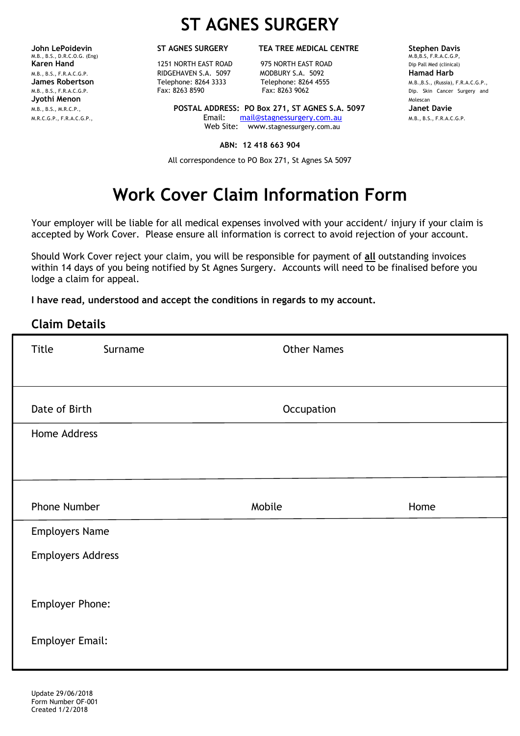M.B., B.S., D.R.C.O.G. (Eng)<br> **Karen Hand** M.B.S. M.B.S. M.B.S. F.R.A.C.B.S. F.R.A.C.B. F.R.A.C.B. F.R.A.C.A.C.B. F.R.A.C.A.D, M.B.S. F.R.A.C.A. **Jyothi Menon** Molescan Molescan Molescan Molescan Molescan Molescan Molescan Molescan Molescan Molescan Molescan Molescan Molescan Molescan Molescan Molescan Molescan Molescan Molescan Molescan Molescan Molescan Molescan

## **ST AGNES SURGERY**

**Karen Handal 1251 NORTH EAST ROAD** 975 NORTH EAST ROAD Dip Pall Med (clinical) M.B., B.S., F.R.A.C.G.P. RIDGEHAVEN S.A. 5097 MODBURY S.A. 5092 **Hamad Harb**

M.B., B.S., M.R.C.P., **POSTAL ADDRESS: PO Box 271, ST AGNES S.A. 5097 Janet Davie** M.R.C.G.P., F.R.A.C.G.P., Email: [mail@stagnessurgery.com.au](mailto:mail@stagnessurgery.com.au) M.B., B.S., F.R.A.C.G.P. Web Site: www.stagnessurgery.com.au

### **ABN: 12 418 663 904**

All correspondence to PO Box 271, St Agnes SA 5097

# **Work Cover Claim Information Form**

Your employer will be liable for all medical expenses involved with your accident/ injury if your claim is accepted by Work Cover. Please ensure all information is correct to avoid rejection of your account.

Should Work Cover reject your claim, you will be responsible for payment of **all** outstanding invoices within 14 days of you being notified by St Agnes Surgery. Accounts will need to be finalised before you lodge a claim for appeal.

**I have read, understood and accept the conditions in regards to my account.**

## **Claim Details**

| Title                    | Surname | <b>Other Names</b> |      |
|--------------------------|---------|--------------------|------|
|                          |         |                    |      |
| Date of Birth            |         | Occupation         |      |
| Home Address             |         |                    |      |
|                          |         |                    |      |
|                          |         |                    |      |
|                          |         |                    |      |
| Phone Number             |         | Mobile             | Home |
| <b>Employers Name</b>    |         |                    |      |
| <b>Employers Address</b> |         |                    |      |
|                          |         |                    |      |
| Employer Phone:          |         |                    |      |
| <b>Employer Email:</b>   |         |                    |      |
|                          |         |                    |      |

**John LePoidevin ST AGNES SURGERY TEA TREE MEDICAL CENTRE Stephen Davis Stephen Davis M.B,B.S, F.R.A.C.G.P**, **Telephone: 8264 3333** Telephone: 8264 4555 M.B.,B.S., (Russia), F.R.A.C.G.P.,<br>
Fax: 8263 9062 Dip. Skin Cancer Surgery and M.B., B.S., F.R.A.C.G.P. FAX: 8263 8590 Fax: 8263 9062 Fax: 8263 9062 Pax: 8263 9062 Dip. Skin Cancer Surgery and